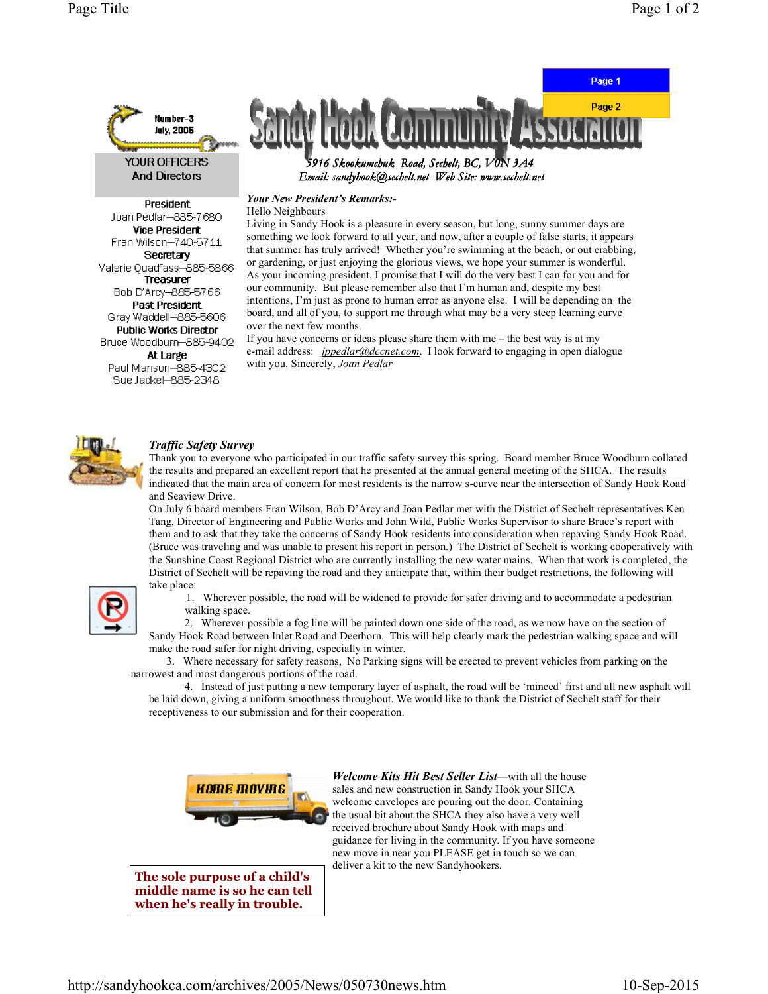

**And Directors** 

President Joan Pedlar-885-7680 **Vice President** Fran Wilson-740-5711 Secretary Valerie Quadfass-885-5866 Treasurer Bob D'Arcy-885-5766 Past President Gray Waddell-885-5606 **Public Works Director** Bruce Woodburn-885-9402 At Large Paul Manson-885-4302 Sue Jackel-885-2348



Email: sandyhook@sechelt.net Web Site: www.sechelt.net

Your New President's Remarks:-

Hello Neighbours

Living in Sandy Hook is a pleasure in every season, but long, sunny summer days are something we look forward to all year, and now, after a couple of false starts, it appears that summer has truly arrived! Whether you're swimming at the beach, or out crabbing, or gardening, or just enjoying the glorious views, we hope your summer is wonderful. As your incoming president, I promise that I will do the very best I can for you and for our community. But please remember also that I'm human and, despite my best intentions, I'm just as prone to human error as anyone else. I will be depending on the board, and all of you, to support me through what may be a very steep learning curve over the next few months.

If you have concerns or ideas please share them with me – the best way is at my e-mail address: *jppedlar@dccnet.com*. I look forward to engaging in open dialogue with you. Sincerely, Joan Pedlar



## Traffic Safety Survey

Thank you to everyone who participated in our traffic safety survey this spring. Board member Bruce Woodburn collated the results and prepared an excellent report that he presented at the annual general meeting of the SHCA. The results indicated that the main area of concern for most residents is the narrow s-curve near the intersection of Sandy Hook Road and Seaview Drive.

On July 6 board members Fran Wilson, Bob D'Arcy and Joan Pedlar met with the District of Sechelt representatives Ken Tang, Director of Engineering and Public Works and John Wild, Public Works Supervisor to share Bruce's report with them and to ask that they take the concerns of Sandy Hook residents into consideration when repaving Sandy Hook Road. (Bruce was traveling and was unable to present his report in person.) The District of Sechelt is working cooperatively with the Sunshine Coast Regional District who are currently installing the new water mains. When that work is completed, the District of Sechelt will be repaving the road and they anticipate that, within their budget restrictions, the following will take place:



 1. Wherever possible, the road will be widened to provide for safer driving and to accommodate a pedestrian walking space.

 2. Wherever possible a fog line will be painted down one side of the road, as we now have on the section of Sandy Hook Road between Inlet Road and Deerhorn. This will help clearly mark the pedestrian walking space and will make the road safer for night driving, especially in winter.

 3. Where necessary for safety reasons, No Parking signs will be erected to prevent vehicles from parking on the narrowest and most dangerous portions of the road.

 4. Instead of just putting a new temporary layer of asphalt, the road will be 'minced' first and all new asphalt will be laid down, giving a uniform smoothness throughout. We would like to thank the District of Sechelt staff for their receptiveness to our submission and for their cooperation.



The sole purpose of a child's middle name is so he can tell when he's really in trouble.

Welcome Kits Hit Best Seller List—with all the house sales and new construction in Sandy Hook your SHCA welcome envelopes are pouring out the door. Containing the usual bit about the SHCA they also have a very well received brochure about Sandy Hook with maps and guidance for living in the community. If you have someone new move in near you PLEASE get in touch so we can deliver a kit to the new Sandyhookers.